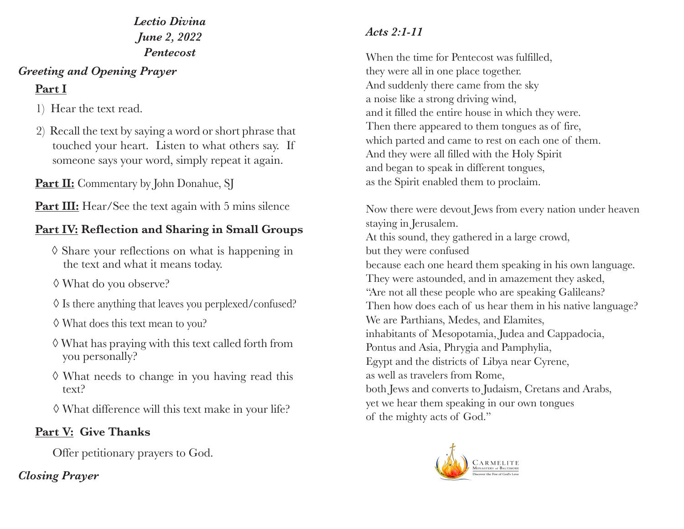### *Lectio Divina June 2, 2022 Pentecost*

#### *Greeting and Opening Prayer*

# **Part I**

- 1) Hear the text read.
- 2) Recall the text by saying a word or short phrase that touched your heart. Listen to what others say. If someone says your word, simply repeat it again.

**Part II:** Commentary by John Donahue, SJ

Part III: Hear/See the text again with 5 mins silence

# **Part IV: Reflection and Sharing in Small Groups**

- ◊ Share your reflections on what is happening in the text and what it means today.
- ◊ What do you observe?
- ◊ Is there anything that leaves you perplexed/confused?
- ◊ What does this text mean to you?
- ◊ What has praying with this text called forth from you personally?
- ◊ What needs to change in you having read this text?
- ◊ What difference will this text make in your life?

## **Part V: Give Thanks**

Offer petitionary prayers to God.

### *Closing Prayer*

# *Acts 2:1-11*

When the time for Pentecost was fulfilled, they were all in one place together. And suddenly there came from the sky a noise like a strong driving wind, and it filled the entire house in which they were. Then there appeared to them tongues as of fire, which parted and came to rest on each one of them. And they were all filled with the Holy Spirit and began to speak in different tongues, as the Spirit enabled them to proclaim.

Now there were devout Jews from every nation under heaven staying in Jerusalem. At this sound, they gathered in a large crowd, but they were confused because each one heard them speaking in his own language. They were astounded, and in amazement they asked, "Are not all these people who are speaking Galileans? Then how does each of us hear them in his native language? We are Parthians, Medes, and Elamites, inhabitants of Mesopotamia, Judea and Cappadocia, Pontus and Asia, Phrygia and Pamphylia, Egypt and the districts of Libya near Cyrene, as well as travelers from Rome, both Jews and converts to Judaism, Cretans and Arabs, yet we hear them speaking in our own tongues of the mighty acts of God."